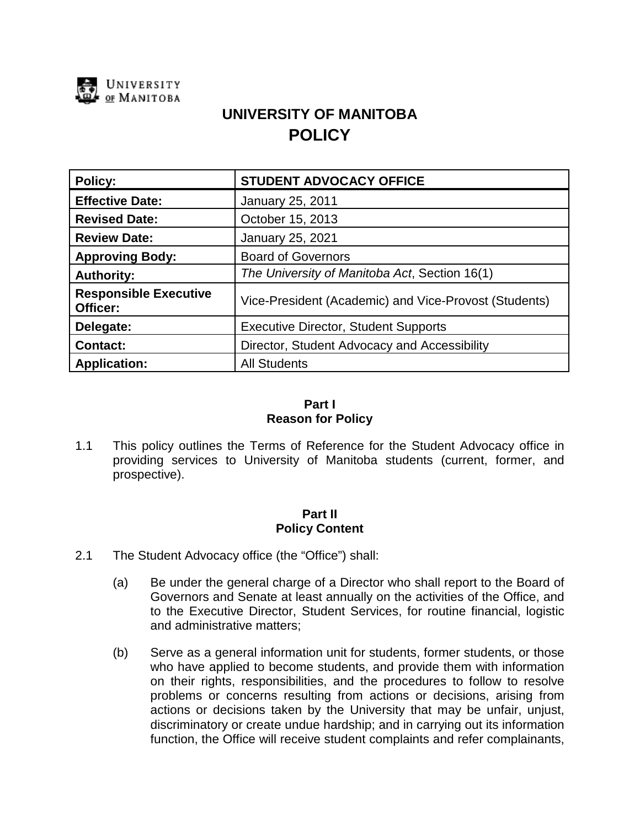

# **UNIVERSITY OF MANITOBA POLICY**

| <b>Policy:</b>                           | <b>STUDENT ADVOCACY OFFICE</b>                        |
|------------------------------------------|-------------------------------------------------------|
| <b>Effective Date:</b>                   | January 25, 2011                                      |
| <b>Revised Date:</b>                     | October 15, 2013                                      |
| <b>Review Date:</b>                      | January 25, 2021                                      |
| <b>Approving Body:</b>                   | <b>Board of Governors</b>                             |
| <b>Authority:</b>                        | The University of Manitoba Act, Section 16(1)         |
| <b>Responsible Executive</b><br>Officer: | Vice-President (Academic) and Vice-Provost (Students) |
| Delegate:                                | <b>Executive Director, Student Supports</b>           |
| <b>Contact:</b>                          | Director, Student Advocacy and Accessibility          |
| <b>Application:</b>                      | <b>All Students</b>                                   |

## **Part I Reason for Policy**

1.1 This policy outlines the Terms of Reference for the Student Advocacy office in providing services to University of Manitoba students (current, former, and prospective).

## **Part II Policy Content**

- 2.1 The Student Advocacy office (the "Office") shall:
	- (a) Be under the general charge of a Director who shall report to the Board of Governors and Senate at least annually on the activities of the Office, and to the Executive Director, Student Services, for routine financial, logistic and administrative matters;
	- (b) Serve as a general information unit for students, former students, or those who have applied to become students, and provide them with information on their rights, responsibilities, and the procedures to follow to resolve problems or concerns resulting from actions or decisions, arising from actions or decisions taken by the University that may be unfair, unjust, discriminatory or create undue hardship; and in carrying out its information function, the Office will receive student complaints and refer complainants,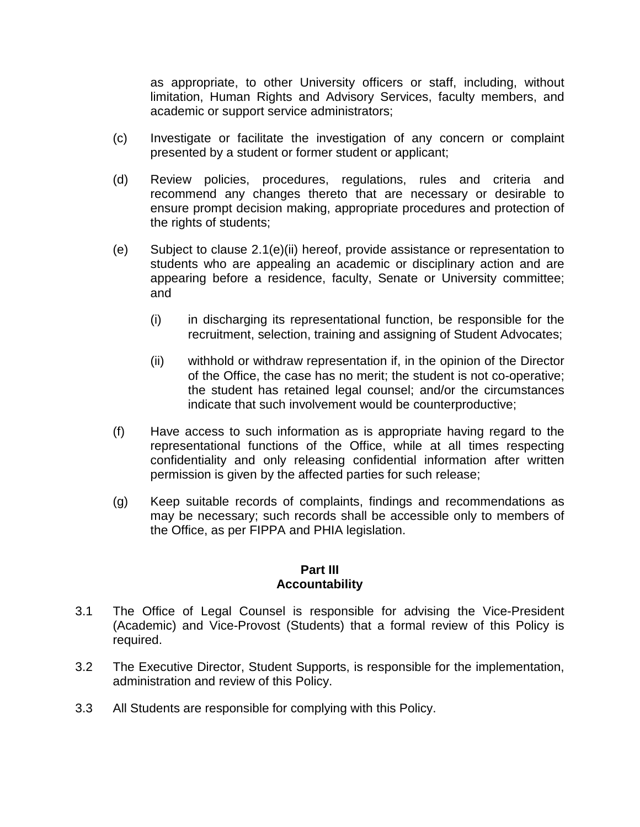as appropriate, to other University officers or staff, including, without limitation, Human Rights and Advisory Services, faculty members, and academic or support service administrators;

- (c) Investigate or facilitate the investigation of any concern or complaint presented by a student or former student or applicant;
- (d) Review policies, procedures, regulations, rules and criteria and recommend any changes thereto that are necessary or desirable to ensure prompt decision making, appropriate procedures and protection of the rights of students;
- (e) Subject to clause 2.1(e)(ii) hereof, provide assistance or representation to students who are appealing an academic or disciplinary action and are appearing before a residence, faculty, Senate or University committee; and
	- (i) in discharging its representational function, be responsible for the recruitment, selection, training and assigning of Student Advocates;
	- (ii) withhold or withdraw representation if, in the opinion of the Director of the Office, the case has no merit; the student is not co-operative; the student has retained legal counsel; and/or the circumstances indicate that such involvement would be counterproductive;
- (f) Have access to such information as is appropriate having regard to the representational functions of the Office, while at all times respecting confidentiality and only releasing confidential information after written permission is given by the affected parties for such release;
- (g) Keep suitable records of complaints, findings and recommendations as may be necessary; such records shall be accessible only to members of the Office, as per FIPPA and PHIA legislation.

#### **Part III Accountability**

- 3.1 The Office of Legal Counsel is responsible for advising the Vice-President (Academic) and Vice-Provost (Students) that a formal review of this Policy is required.
- 3.2 The Executive Director, Student Supports, is responsible for the implementation, administration and review of this Policy.
- 3.3 All Students are responsible for complying with this Policy.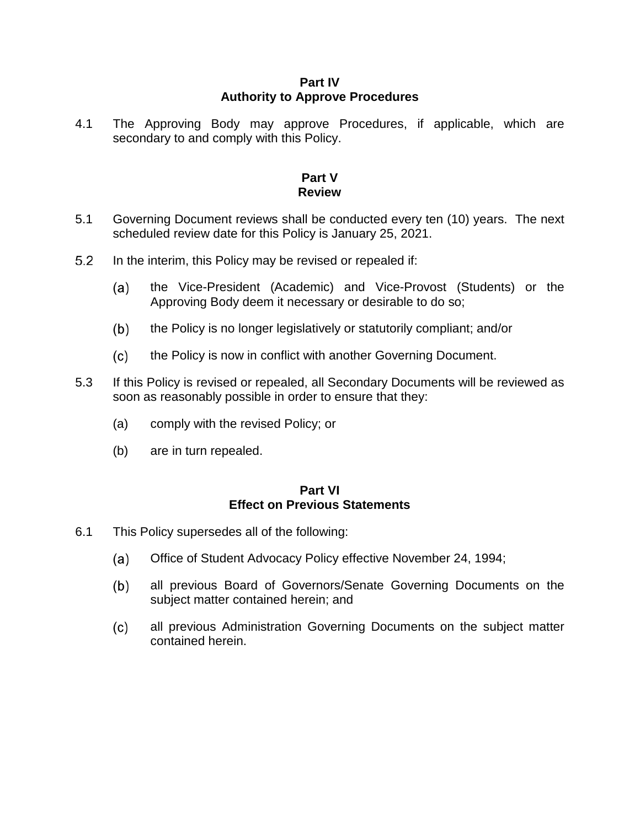#### **Part IV Authority to Approve Procedures**

4.1 The Approving Body may approve Procedures, if applicable, which are secondary to and comply with this Policy.

#### **Part V Review**

- 5.1 Governing Document reviews shall be conducted every ten (10) years. The next scheduled review date for this Policy is January 25, 2021.
- $5.2$ In the interim, this Policy may be revised or repealed if:
	- the Vice-President (Academic) and Vice-Provost (Students) or the  $(a)$ Approving Body deem it necessary or desirable to do so;
	- $(b)$ the Policy is no longer legislatively or statutorily compliant; and/or
	- $(c)$ the Policy is now in conflict with another Governing Document.
- 5.3 If this Policy is revised or repealed, all Secondary Documents will be reviewed as soon as reasonably possible in order to ensure that they:
	- (a) comply with the revised Policy; or
	- (b) are in turn repealed.

#### **Part VI Effect on Previous Statements**

- 6.1 This Policy supersedes all of the following:
	- $(a)$ Office of Student Advocacy Policy effective November 24, 1994;
	- all previous Board of Governors/Senate Governing Documents on the  $(b)$ subject matter contained herein; and
	- $(c)$ all previous Administration Governing Documents on the subject matter contained herein.